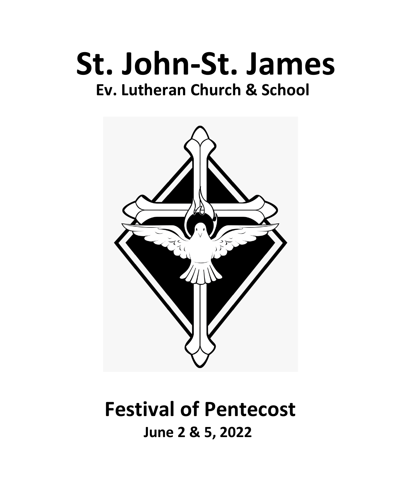# **St. John-St. James Ev. Lutheran Church & School**



# **Festival of Pentecost June 2 & 5, 2022**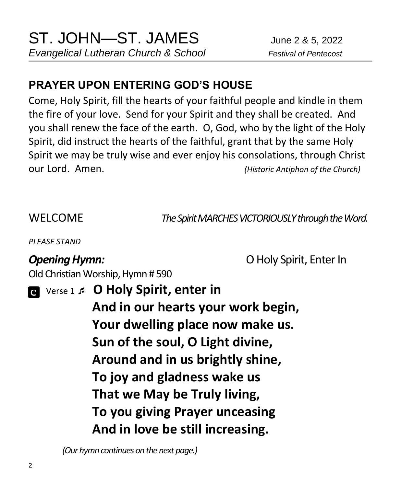# **PRAYER UPON ENTERING GOD'S HOUSE**

Come, Holy Spirit, fill the hearts of your faithful people and kindle in them the fire of your love. Send for your Spirit and they shall be created. And you shall renew the face of the earth. O, God, who by the light of the Holy Spirit, did instruct the hearts of the faithful, grant that by the same Holy Spirit we may be truly wise and ever enjoy his consolations, through Christ our Lord. Amen. *(Historic Antiphon of the Church)*

WELCOME *The Spirit MARCHES VICTORIOUSLY through the Word.*

*PLEASE STAND*

**Opening Hymn: O** Holy Spirit, Enter In

Old Christian Worship, Hymn # 590

 Verse 1  **O Holy Spirit, enter in And in our hearts your work begin, Your dwelling place now make us. Sun of the soul, O Light divine, Around and in us brightly shine, To joy and gladness wake us That we May be Truly living, To you giving Prayer unceasing And in love be still increasing.**

 *(Our hymn continues on the next page.)*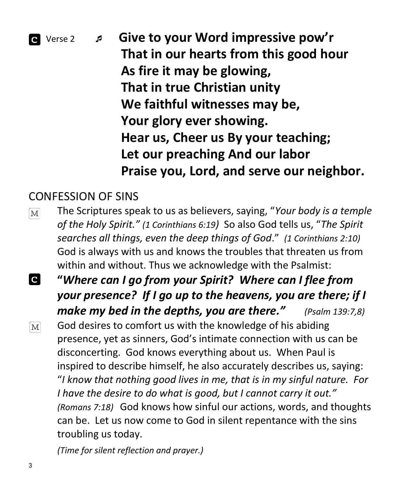

 Verse 2  **Give to your Word impressive pow'r That in our hearts from this good hour As fire it may be glowing, That in true Christian unity We faithful witnesses may be, Your glory ever showing. Hear us, Cheer us By your teaching; Let our preaching And our labor Praise you, Lord, and serve our neighbor.**

### CONFESSION OF SINS

- The Scriptures speak to us as believers, saying, "*Your body is a temple*   $\boxed{\text{M}}$ *of the Holy Spirit." (1 Corinthians 6:19)* So also God tells us, "*The Spirit searches all things, even the deep things of God*." *(1 Corinthians 2:10)*  God is always with us and knows the troubles that threaten us from within and without. Thus we acknowledge with the Psalmist:
- $\overline{c}$ **"***Where can I go from your Spirit? Where can I flee from your presence? If I go up to the heavens, you are there; if I make my bed in the depths, you are there." (Psalm 139:7,8)* God desires to comfort us with the knowledge of his abiding  $\boxed{\text{M}}$ presence, yet as sinners, God's intimate connection with us can be disconcerting. God knows everything about us. When Paul is inspired to describe himself, he also accurately describes us, saying: "*I know that nothing good lives in me, that is in my sinful nature. For I have the desire to do what is good, but I cannot carry it out." (Romans 7:18)* God knows how sinful our actions, words, and thoughts can be. Let us now come to God in silent repentance with the sins troubling us today.

*(Time for silent reflection and prayer.)*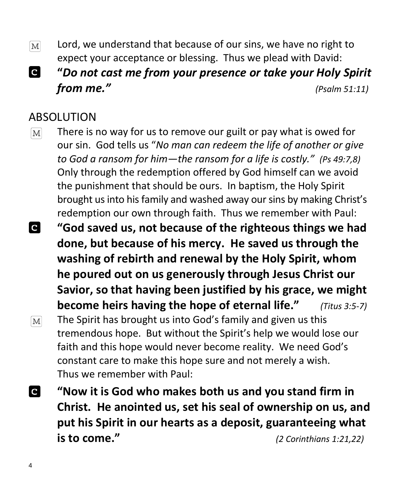- Lord, we understand that because of our sins, we have no right to  $[M]$ expect your acceptance or blessing. Thus we plead with David:
- **C "***Do not cast me from your presence or take your Holy Spirit from me." (Psalm 51:11)*

#### ABSOLUTION

- There is no way for us to remove our guilt or pay what is owed for  $[M]$ our sin. God tells us "*No man can redeem the life of another or give to God a ransom for him—the ransom for a life is costly." (Ps 49:7,8)*  Only through the redemption offered by God himself can we avoid the punishment that should be ours. In baptism, the Holy Spirit brought us into his family and washed away our sins by making Christ's redemption our own through faith. Thus we remember with Paul:
- $\overline{\mathbf{c}}$ **"God saved us, not because of the righteous things we had done, but because of his mercy. He saved us through the washing of rebirth and renewal by the Holy Spirit, whom he poured out on us generously through Jesus Christ our Savior, so that having been justified by his grace, we might become heirs having the hope of eternal life."** *(Titus 3:5-7)* The Spirit has brought us into God's family and given us this  $|M|$ tremendous hope. But without the Spirit's help we would lose our faith and this hope would never become reality. We need God's constant care to make this hope sure and not merely a wish. Thus we remember with Paul:
- **C "Now it is God who makes both us and you stand firm in Christ. He anointed us, set his seal of ownership on us, and put his Spirit in our hearts as a deposit, guaranteeing what is to come."** *(2 Corinthians 1:21,22)*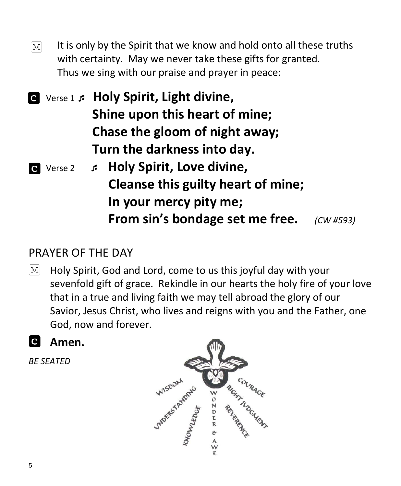It is only by the Spirit that we know and hold onto all these truths  $\lceil \mathbf{M} \rceil$ with certainty. May we never take these gifts for granted. Thus we sing with our praise and prayer in peace:

 Verse 1  **Holy Spirit, Light divine, Shine upon this heart of mine; Chase the gloom of night away; Turn the darkness into day.**

 Verse 2  **Holy Spirit, Love divine, Cleanse this guilty heart of mine; In your mercy pity me; From sin's bondage set me free.** *(CW #593)*

## PRAYER OF THE DAY

- Holy Spirit, God and Lord, come to us this joyful day with your  $M$ sevenfold gift of grace. Rekindle in our hearts the holy fire of your love that in a true and living faith we may tell abroad the glory of our Savior, Jesus Christ, who lives and reigns with you and the Father, one God, now and forever.
- **Amen.**

*BE SEATED*

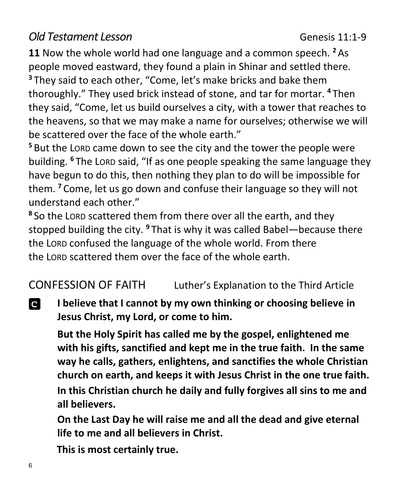## *Old Testament Lesson* Genesis 11:1-9

**11** Now the whole world had one language and a common speech. **<sup>2</sup>** As people moved eastward, they found a plain in Shinar and settled there. **<sup>3</sup>** They said to each other, "Come, let's make bricks and bake them thoroughly." They used brick instead of stone, and tar for mortar. **<sup>4</sup>** Then they said, "Come, let us build ourselves a city, with a tower that reaches to the heavens, so that we may make a name for ourselves; otherwise we will be scattered over the face of the whole earth."

**<sup>5</sup>** But the LORD came down to see the city and the tower the people were building. **<sup>6</sup>** The LORD said, "If as one people speaking the same language they have begun to do this, then nothing they plan to do will be impossible for them. **<sup>7</sup>** Come, let us go down and confuse their language so they will not understand each other."

**8** So the LORD scattered them from there over all the earth, and they stopped building the city. **<sup>9</sup>** That is why it was called Babel—because there the LORD confused the language of the whole world. From there the LORD scattered them over the face of the whole earth.

CONFESSION OF FAITH Luther's Explanation to the Third Article

C **I believe that I cannot by my own thinking or choosing believe in Jesus Christ, my Lord, or come to him.**

**But the Holy Spirit has called me by the gospel, enlightened me with his gifts, sanctified and kept me in the true faith. In the same way he calls, gathers, enlightens, and sanctifies the whole Christian church on earth, and keeps it with Jesus Christ in the one true faith.**

**In this Christian church he daily and fully forgives all sins to me and all believers.**

**On the Last Day he will raise me and all the dead and give eternal life to me and all believers in Christ.**

 **This is most certainly true.**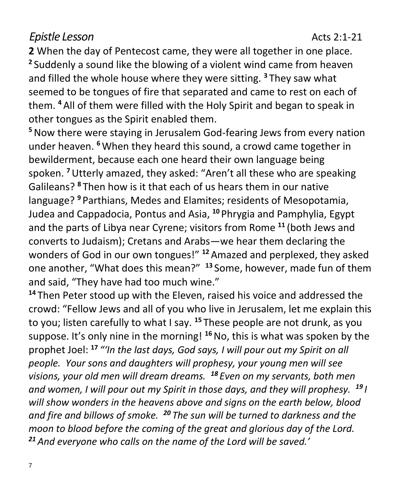### *Epistle Lesson* **Acts 2:1-21**

**2** When the day of Pentecost came, they were all together in one place. **2** Suddenly a sound like the blowing of a violent wind came from heaven and filled the whole house where they were sitting. **<sup>3</sup>** They saw what seemed to be tongues of fire that separated and came to rest on each of them. **<sup>4</sup>** All of them were filled with the Holy Spirit and began to speak in other tongues as the Spirit enabled them.

**<sup>5</sup>**Now there were staying in Jerusalem God-fearing Jews from every nation under heaven. **<sup>6</sup>**When they heard this sound, a crowd came together in bewilderment, because each one heard their own language being spoken. **<sup>7</sup>**Utterly amazed, they asked: "Aren't all these who are speaking Galileans? **<sup>8</sup>** Then how is it that each of us hears them in our native language? **<sup>9</sup>** Parthians, Medes and Elamites; residents of Mesopotamia, Judea and Cappadocia, Pontus and Asia, **<sup>10</sup>** Phrygia and Pamphylia, Egypt and the parts of Libya near Cyrene; visitors from Rome **<sup>11</sup>** (both Jews and converts to Judaism); Cretans and Arabs—we hear them declaring the wonders of God in our own tongues!" **<sup>12</sup>** Amazed and perplexed, they asked one another, "What does this mean?" **<sup>13</sup>** Some, however, made fun of them and said, "They have had too much wine."

**<sup>14</sup>** Then Peter stood up with the Eleven, raised his voice and addressed the crowd: "Fellow Jews and all of you who live in Jerusalem, let me explain this to you; listen carefully to what I say. **<sup>15</sup>** These people are not drunk, as you suppose. It's only nine in the morning! **<sup>16</sup>**No, this is what was spoken by the prophet Joel: **<sup>17</sup>** *"'In the last days, God says, I will pour out my Spirit on all people. Your sons and daughters will prophesy, your young men will see visions, your old men will dream dreams. <sup>18</sup> Even on my servants, both men and women, I will pour out my Spirit in those days, and they will prophesy. <sup>19</sup> I will show wonders in the heavens above and signs on the earth below, blood and fire and billows of smoke. <sup>20</sup> The sun will be turned to darkness and the moon to blood before the coming of the great and glorious day of the Lord. <sup>21</sup> And everyone who calls on the name of the Lord will be saved.'*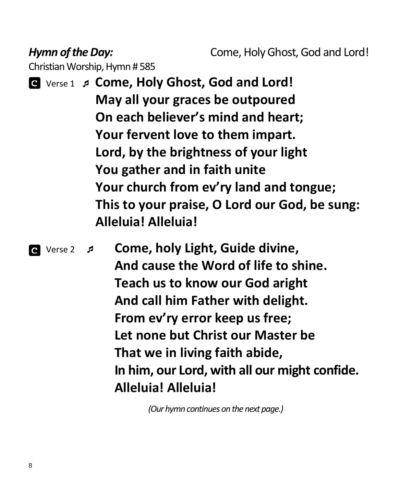*Hymn of the Day:* Come, Holy Ghost, God and Lord!

Christian Worship, Hymn # 585

 Verse 1  **Come, Holy Ghost, God and Lord! May all your graces be outpoured On each believer's mind and heart; Your fervent love to them impart. Lord, by the brightness of your light You gather and in faith unite Your church from ev'ry land and tongue; This to your praise, O Lord our God, be sung: Alleluia! Alleluia!**

 Verse 2 **Come, holy Light, Guide divine, And cause the Word of life to shine. Teach us to know our God aright And call him Father with delight. From ev'ry error keep us free; Let none but Christ our Master be That we in living faith abide, In him, our Lord, with all our might confide. Alleluia! Alleluia!**

 *(Our hymn continues on the next page.)*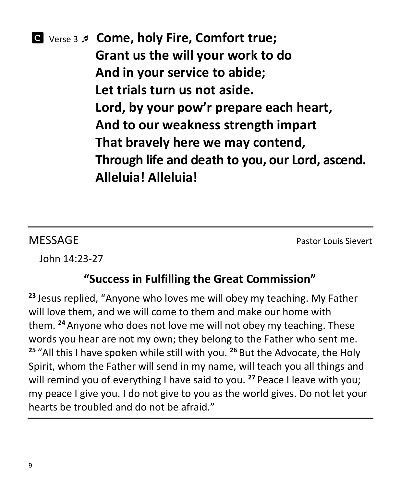# Verse 3  **Come, holy Fire, Comfort true; Grant us the will your work to do And in your service to abide; Let trials turn us not aside. Lord, by your pow'r prepare each heart, And to our weakness strength impart That bravely here we may contend, Through life and death to you, our Lord, ascend. Alleluia! Alleluia!**

**MESSAGE** Pastor Louis Sievert

John 14:23-27

# **"Success in Fulfilling the Great Commission"**

**<sup>23</sup>** Jesus replied, "Anyone who loves me will obey my teaching. My Father will love them, and we will come to them and make our home with them. **<sup>24</sup>** Anyone who does not love me will not obey my teaching. These words you hear are not my own; they belong to the Father who sent me. **<sup>25</sup>** "All this I have spoken while still with you. **<sup>26</sup>** But the Advocate, the Holy Spirit, whom the Father will send in my name, will teach you all things and will remind you of everything I have said to you. **<sup>27</sup>** Peace I leave with you; my peace I give you. I do not give to you as the world gives. Do not let your hearts be troubled and do not be afraid."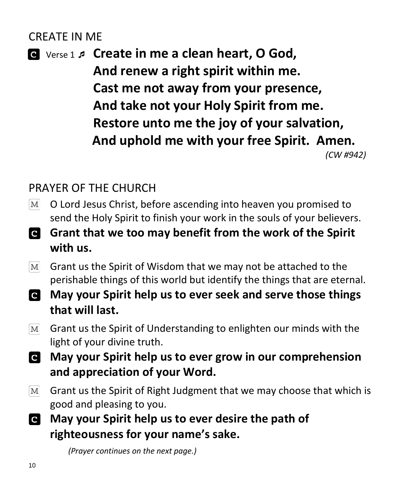## CREATE IN ME

 Verse 1  **Create in me a clean heart, O God, And renew a right spirit within me. Cast me not away from your presence, And take not your Holy Spirit from me. Restore unto me the joy of your salvation, And uphold me with your free Spirit. Amen.** *(CW #942)*

# PRAYER OF THE CHURCH

- O Lord Jesus Christ, before ascending into heaven you promised to  $|M|$ send the Holy Spirit to finish your work in the souls of your believers.
- **Grant that we too may benefit from the work of the Spirit with us.**
- $\boxed{\text{M}}$ Grant us the Spirit of Wisdom that we may not be attached to the perishable things of this world but identify the things that are eternal.
- **May your Spirit help us to ever seek and serve those things that will last.**
- Grant us the Spirit of Understanding to enlighten our minds with the  $|M|$ light of your divine truth.
- **May your Spirit help us to ever grow in our comprehension and appreciation of your Word.**
- Grant us the Spirit of Right Judgment that we may choose that which is  $|M|$ good and pleasing to you.
- **May your Spirit help us to ever desire the path of**   $\overline{c}$ **righteousness for your name's sake.**

 *(Prayer continues on the next page.)*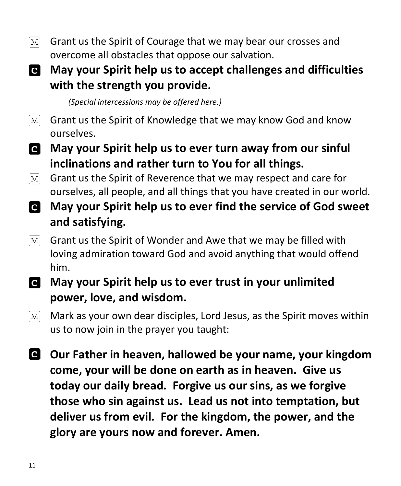$[M]$ Grant us the Spirit of Courage that we may bear our crosses and overcome all obstacles that oppose our salvation.

# **May your Spirit help us to accept challenges and difficulties with the strength you provide.**

 *(Special intercessions may be offered here.)*

- Grant us the Spirit of Knowledge that we may know God and know  $[M]$ ourselves.
- **May your Spirit help us to ever turn away from our sinful inclinations and rather turn to You for all things.**
- Grant us the Spirit of Reverence that we may respect and care for  $\lceil \text{M} \rceil$ ourselves, all people, and all things that you have created in our world.
- **May your Spirit help us to ever find the service of God sweet and satisfying.**
- Grant us the Spirit of Wonder and Awe that we may be filled with  $|M|$ loving admiration toward God and avoid anything that would offend him.
- **May your Spirit help us to ever trust in your unlimited power, love, and wisdom.**
- Mark as your own dear disciples, Lord Jesus, as the Spirit moves within  $|M|$ us to now join in the prayer you taught:
- **Our Father in heaven, hallowed be your name, your kingdom come, your will be done on earth as in heaven. Give us today our daily bread. Forgive us our sins, as we forgive those who sin against us. Lead us not into temptation, but deliver us from evil. For the kingdom, the power, and the glory are yours now and forever. Amen.**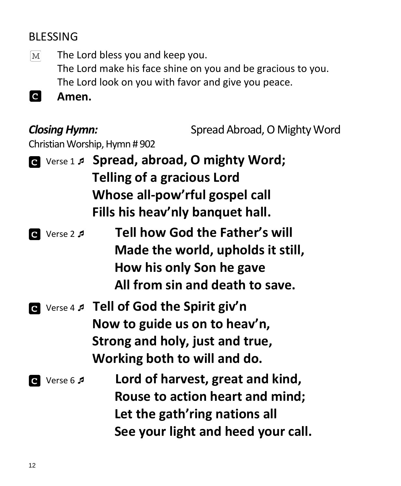# BLESSING

The Lord bless you and keep you.  $\lceil \text{M} \rceil$ The Lord make his face shine on you and be gracious to you. The Lord look on you with favor and give you peace.

**C Amen.** 

**Closing Hymn:** Spread Abroad, O Mighty Word

Christian Worship, Hymn # 902

- Verse 1 **Spread, abroad, O mighty Word; Telling of a gracious Lord Whose all-pow'rful gospel call Fills his heav'nly banquet hall.**
- Verse 2 **Tell how God the Father's will Made the world, upholds it still, How his only Son he gave All from sin and death to save.**
- Verse 4 **Tell of God the Spirit giv'n Now to guide us on to heav'n, Strong and holy, just and true, Working both to will and do.**
- Verse 6 **Lord of harvest, great and kind, Rouse to action heart and mind; Let the gath'ring nations all See your light and heed your call.**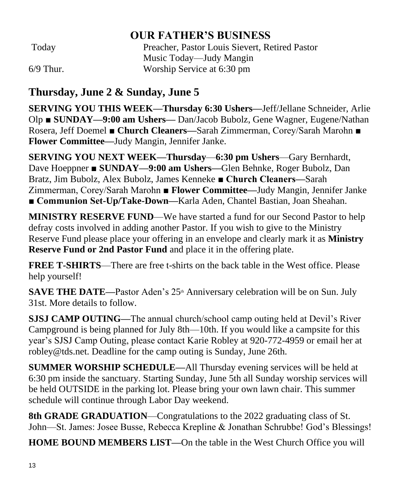#### **OUR FATHER'S BUSINESS**

Today Preacher, Pastor Louis Sievert, Retired Pastor Music Today—Judy Mangin 6/9 Thur. Worship Service at 6:30 pm

## **Thursday, June 2 & Sunday, June 5**

**SERVING YOU THIS WEEK—Thursday 6:30 Ushers—**Jeff/Jellane Schneider, Arlie Olp ■ **SUNDAY—9:00 am Ushers—** Dan/Jacob Bubolz, Gene Wagner, Eugene/Nathan Rosera, Jeff Doemel ■ **Church Cleaners—**Sarah Zimmerman, Corey/Sarah Marohn ■ **Flower Committee—**Judy Mangin, Jennifer Janke.

**SERVING YOU NEXT WEEK—Thursday**—**6:30 pm Ushers**—Gary Bernhardt, Dave Hoeppner ■ **SUNDAY—9:00 am Ushers—**Glen Behnke, Roger Bubolz, Dan Bratz, Jim Bubolz, Alex Bubolz, James Kenneke **■ Church Cleaners—**Sarah Zimmerman, Corey/Sarah Marohn ■ **Flower Committee—**Judy Mangin, Jennifer Janke **■ Communion Set-Up/Take-Down—**Karla Aden, Chantel Bastian, Joan Sheahan.

**MINISTRY RESERVE FUND**—We have started a fund for our Second Pastor to help defray costs involved in adding another Pastor. If you wish to give to the Ministry Reserve Fund please place your offering in an envelope and clearly mark it as **Ministry Reserve Fund or 2nd Pastor Fund** and place it in the offering plate.

**FREE T-SHIRTS**—There are free t-shirts on the back table in the West office. Please help yourself!

**SAVE THE DATE—Pastor Aden's 25<sup>th</sup> Anniversary celebration will be on Sun. July** 31st. More details to follow.

**SJSJ CAMP OUTING—**The annual church/school camp outing held at Devil's River Campground is being planned for July 8th—10th. If you would like a campsite for this year's SJSJ Camp Outing, please contact Karie Robley at 920-772-4959 or email her at robley@tds.net. Deadline for the camp outing is Sunday, June 26th.

**SUMMER WORSHIP SCHEDULE—**All Thursday evening services will be held at 6:30 pm inside the sanctuary. Starting Sunday, June 5th all Sunday worship services will be held OUTSIDE in the parking lot. Please bring your own lawn chair. This summer schedule will continue through Labor Day weekend.

**8th GRADE GRADUATION**—Congratulations to the 2022 graduating class of St. John—St. James: Josee Busse, Rebecca Krepline & Jonathan Schrubbe! God's Blessings!

**HOME BOUND MEMBERS LIST—**On the table in the West Church Office you will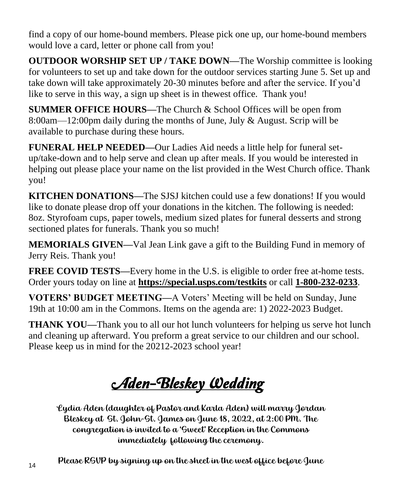find a copy of our home-bound members. Please pick one up, our home-bound members would love a card, letter or phone call from you!

**OUTDOOR WORSHIP SET UP / TAKE DOWN—**The Worship committee is looking for volunteers to set up and take down for the outdoor services starting June 5. Set up and take down will take approximately 20-30 minutes before and after the service. If you'd like to serve in this way, a sign up sheet is in thewest office. Thank you!

**SUMMER OFFICE HOURS—**The Church & School Offices will be open from 8:00am—12:00pm daily during the months of June, July & August. Scrip will be available to purchase during these hours.

**FUNERAL HELP NEEDED—**Our Ladies Aid needs a little help for funeral setup/take-down and to help serve and clean up after meals. If you would be interested in helping out please place your name on the list provided in the West Church office. Thank you!

**KITCHEN DONATIONS—**The SJSJ kitchen could use a few donations! If you would like to donate please drop off your donations in the kitchen. The following is needed: 8oz. Styrofoam cups, paper towels, medium sized plates for funeral desserts and strong sectioned plates for funerals. Thank you so much!

**MEMORIALS GIVEN—**Val Jean Link gave a gift to the Building Fund in memory of Jerry Reis. Thank you!

**FREE COVID TESTS—**Every home in the U.S. is eligible to order free at-home tests. Order yours today on line at **https://special.usps.com/testkits** or call **[1-800-232-0233](tel:1-800-232-0233)**.

**VOTERS' BUDGET MEETING—**A Voters' Meeting will be held on Sunday, June 19th at 10:00 am in the Commons. Items on the agenda are: 1) 2022-2023 Budget.

**THANK YOU—**Thank you to all our hot lunch volunteers for helping us serve hot lunch and cleaning up afterward. You preform a great service to our children and our school. Please keep us in mind for the 20212-2023 school year!

**Aden-Bleskey Wedding** 

Lydia Aden (daughter of Pastor and Karla Aden) will marry Jordan Bleskey at St. John-St. James on June 18, 2022, at 2:00 PM. The congregation is invited to a 'Sweet' Reception in the Commons immediately following the ceremony.

Please RSVP by signing up on the sheet in the west office before June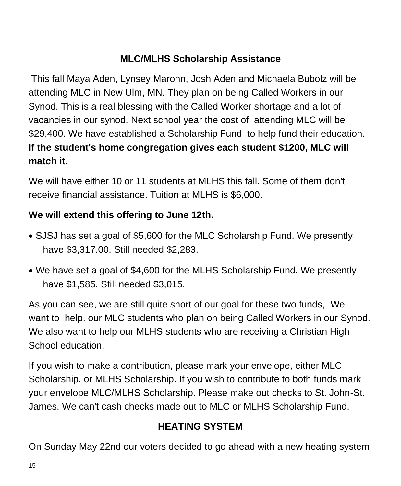#### **MLC/MLHS Scholarship Assistance**

This fall Maya Aden, Lynsey Marohn, Josh Aden and Michaela Bubolz will be attending MLC in New Ulm, MN. They plan on being Called Workers in our Synod. This is a real blessing with the Called Worker shortage and a lot of vacancies in our synod. Next school year the cost of attending MLC will be \$29,400. We have established a Scholarship Fund to help fund their education. **If the student's home congregation gives each student \$1200, MLC will match it.** 

We will have either 10 or 11 students at MLHS this fall. Some of them don't receive financial assistance. Tuition at MLHS is \$6,000.

#### **We will extend this offering to June 12th.**

- SJSJ has set a goal of \$5,600 for the MLC Scholarship Fund. We presently have \$3,317.00. Still needed \$2,283.
- We have set a goal of \$4,600 for the MLHS Scholarship Fund. We presently have \$1,585. Still needed \$3,015.

As you can see, we are still quite short of our goal for these two funds, We want to help. our MLC students who plan on being Called Workers in our Synod. We also want to help our MLHS students who are receiving a Christian High School education.

If you wish to make a contribution, please mark your envelope, either MLC Scholarship. or MLHS Scholarship. If you wish to contribute to both funds mark your envelope MLC/MLHS Scholarship. Please make out checks to St. John-St. James. We can't cash checks made out to MLC or MLHS Scholarship Fund.

#### **HEATING SYSTEM**

On Sunday May 22nd our voters decided to go ahead with a new heating system